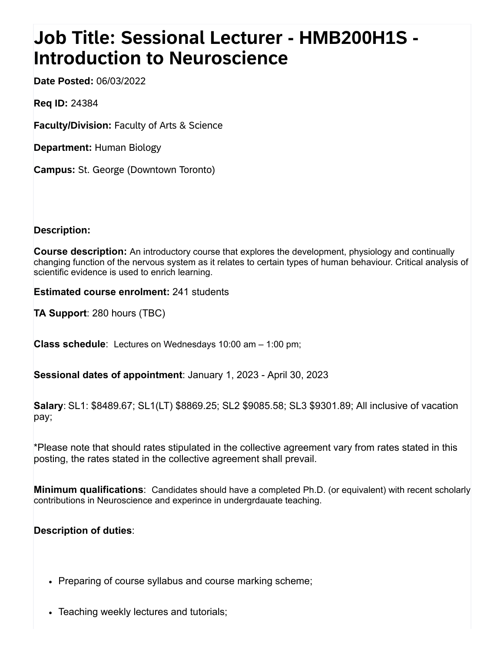## **Job Title: Sessional Lecturer - HMB200H1S - Introduction to Neuroscience**

**Date Posted:** 06/03/2022

**Req ID:** 24384

**Faculty/Division:** Faculty of Arts & Science

**Department:** Human Biology

**Campus:** St. George (Downtown Toronto)

**Description:**

**Course description:** An introductory course that explores the development, physiology and continually changing function of the nervous system as it relates to certain types of human behaviour. Critical analysis of scientific evidence is used to enrich learning.

**Estimated course enrolment:** 241 students

**TA Support**: 280 hours (TBC)

**Class schedule**: Lectures on Wednesdays 10:00 am – 1:00 pm;

**Sessional dates of appointment**: January 1, 2023 - April 30, 2023

**Salary**: SL1: \$8489.67; SL1(LT) \$8869.25; SL2 \$9085.58; SL3 \$9301.89; All inclusive of vacation pay;

\*Please note that should rates stipulated in the collective agreement vary from rates stated in this posting, the rates stated in the collective agreement shall prevail.

**Minimum qualifications**: Candidates should have a completed Ph.D. (or equivalent) with recent scholarly contributions in Neuroscience and experince in undergrdauate teaching.

## **Description of duties**:

- Preparing of course syllabus and course marking scheme;
- Teaching weekly lectures and tutorials;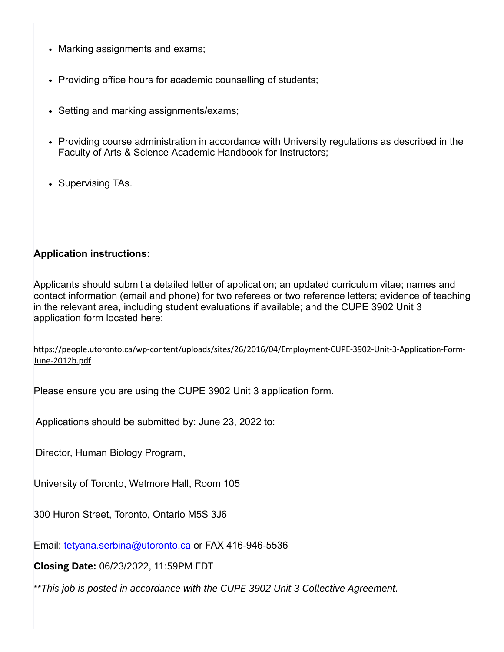- Marking assignments and exams;
- Providing office hours for academic counselling of students;
- Setting and marking assignments/exams;
- Providing course administration in accordance with University regulations as described in the Faculty of Arts & Science Academic Handbook for Instructors;
- Supervising TAs.

## **Application instructions:**

Applicants should submit a detailed letter of application; an updated curriculum vitae; names and contact information (email and phone) for two referees or two reference letters; evidence of teaching in the relevant area, including student evaluations if available; and the CUPE 3902 Unit 3 application form located here:

[https://people.utoronto.ca/wp-content/uploads/sites/26/2016/04/Employment-CUPE-3902-Unit-3-Application-Form-](javascript:void(0);)June-2012b.pdf

Please ensure you are using the CUPE 3902 Unit 3 application form.

Applications should be submitted by: June 23, 2022 to:

Director, Human Biology Program,

University of Toronto, Wetmore Hall, Room 105

300 Huron Street, Toronto, Ontario M5S 3J6

Email: tetyana.serbina@utoronto.ca or FAX 416-946-5536

**Closing Date:** 06/23/2022, 11:59PM EDT

\*\**This job is posted in accordance with the CUPE 3902 Unit 3 Collective Agreement.*